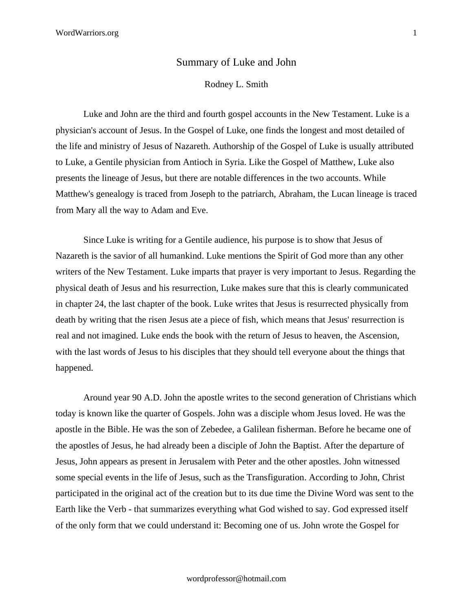## Summary of Luke and John

## Rodney L. Smith

Luke and John are the third and fourth gospel accounts in the New Testament. Luke is a physician's account of Jesus. In the Gospel of Luke, one finds the longest and most detailed of the life and ministry of Jesus of Nazareth. Authorship of the Gospel of Luke is usually attributed to Luke, a Gentile physician from Antioch in Syria. Like the Gospel of Matthew, Luke also presents the lineage of Jesus, but there are notable differences in the two accounts. While Matthew's genealogy is traced from Joseph to the patriarch, Abraham, the Lucan lineage is traced from Mary all the way to Adam and Eve.

Since Luke is writing for a Gentile audience, his purpose is to show that Jesus of Nazareth is the savior of all humankind. Luke mentions the Spirit of God more than any other writers of the New Testament. Luke imparts that prayer is very important to Jesus. Regarding the physical death of Jesus and his resurrection, Luke makes sure that this is clearly communicated in chapter 24, the last chapter of the book. Luke writes that Jesus is resurrected physically from death by writing that the risen Jesus ate a piece of fish, which means that Jesus' resurrection is real and not imagined. Luke ends the book with the return of Jesus to heaven, the Ascension, with the last words of Jesus to his disciples that they should tell everyone about the things that happened.

Around year 90 A.D. John the apostle writes to the second generation of Christians which today is known like the quarter of Gospels. John was a disciple whom Jesus loved. He was the apostle in the Bible. He was the son of Zebedee, a Galilean fisherman. Before he became one of the apostles of Jesus, he had already been a disciple of John the Baptist. After the departure of Jesus, John appears as present in Jerusalem with Peter and the other apostles. John witnessed some special events in the life of Jesus, such as the Transfiguration. According to John, Christ participated in the original act of the creation but to its due time the Divine Word was sent to the Earth like the Verb - that summarizes everything what God wished to say. God expressed itself of the only form that we could understand it: Becoming one of us. John wrote the Gospel for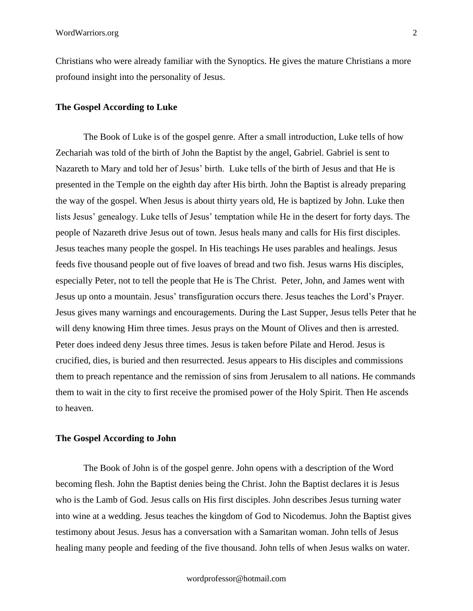Christians who were already familiar with the Synoptics. He gives the mature Christians a more profound insight into the personality of Jesus.

## **The Gospel According to Luke**

The Book of Luke is of the gospel genre. After a small introduction, Luke tells of how Zechariah was told of the birth of John the Baptist by the angel, Gabriel. Gabriel is sent to Nazareth to Mary and told her of Jesus' birth. Luke tells of the birth of Jesus and that He is presented in the Temple on the eighth day after His birth. John the Baptist is already preparing the way of the gospel. When Jesus is about thirty years old, He is baptized by John. Luke then lists Jesus' genealogy. Luke tells of Jesus' temptation while He in the desert for forty days. The people of Nazareth drive Jesus out of town. Jesus heals many and calls for His first disciples. Jesus teaches many people the gospel. In His teachings He uses parables and healings. Jesus feeds five thousand people out of five loaves of bread and two fish. Jesus warns His disciples, especially Peter, not to tell the people that He is The Christ. Peter, John, and James went with Jesus up onto a mountain. Jesus' transfiguration occurs there. Jesus teaches the Lord's Prayer. Jesus gives many warnings and encouragements. During the Last Supper, Jesus tells Peter that he will deny knowing Him three times. Jesus prays on the Mount of Olives and then is arrested. Peter does indeed deny Jesus three times. Jesus is taken before Pilate and Herod. Jesus is crucified, dies, is buried and then resurrected. Jesus appears to His disciples and commissions them to preach repentance and the remission of sins from Jerusalem to all nations. He commands them to wait in the city to first receive the promised power of the Holy Spirit. Then He ascends to heaven.

## **The Gospel According to John**

The Book of John is of the gospel genre. John opens with a description of the Word becoming flesh. John the Baptist denies being the Christ. John the Baptist declares it is Jesus who is the Lamb of God. Jesus calls on His first disciples. John describes Jesus turning water into wine at a wedding. Jesus teaches the kingdom of God to Nicodemus. John the Baptist gives testimony about Jesus. Jesus has a conversation with a Samaritan woman. John tells of Jesus healing many people and feeding of the five thousand. John tells of when Jesus walks on water.